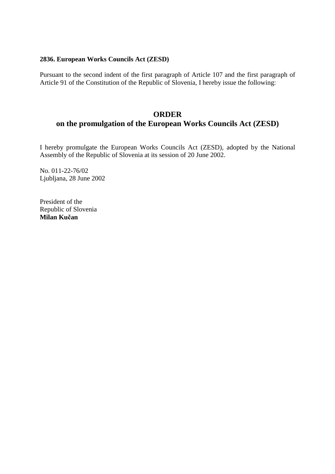### **2836. European Works Councils Act (ZESD)**

Pursuant to the second indent of the first paragraph of Article 107 and the first paragraph of Article 91 of the Constitution of the Republic of Slovenia, I hereby issue the following:

# **ORDER on the promulgation of the European Works Councils Act (ZESD)**

I hereby promulgate the European Works Councils Act (ZESD), adopted by the National Assembly of the Republic of Slovenia at its session of 20 June 2002.

No. 011-22-76/02 Ljubljana, 28 June 2002

President of the Republic of Slovenia **Milan Ku**č**an**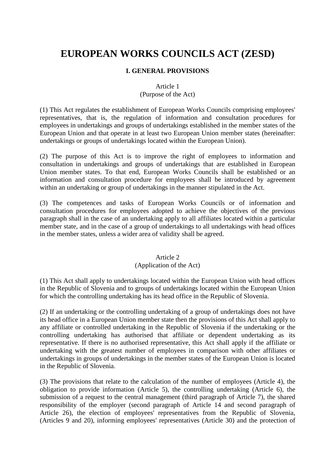# **EUROPEAN WORKS COUNCILS ACT (ZESD)**

### **I. GENERAL PROVISIONS**

### Article 1

### (Purpose of the Act)

(1) This Act regulates the establishment of European Works Councils comprising employees' representatives, that is, the regulation of information and consultation procedures for employees in undertakings and groups of undertakings established in the member states of the European Union and that operate in at least two European Union member states (hereinafter: undertakings or groups of undertakings located within the European Union).

(2) The purpose of this Act is to improve the right of employees to information and consultation in undertakings and groups of undertakings that are established in European Union member states. To that end, European Works Councils shall be established or an information and consultation procedure for employees shall be introduced by agreement within an undertaking or group of undertakings in the manner stipulated in the Act.

(3) The competences and tasks of European Works Councils or of information and consultation procedures for employees adopted to achieve the objectives of the previous paragraph shall in the case of an undertaking apply to all affiliates located within a particular member state, and in the case of a group of undertakings to all undertakings with head offices in the member states, unless a wider area of validity shall be agreed.

# Article 2

# (Application of the Act)

(1) This Act shall apply to undertakings located within the European Union with head offices in the Republic of Slovenia and to groups of undertakings located within the European Union for which the controlling undertaking has its head office in the Republic of Slovenia.

(2) If an undertaking or the controlling undertaking of a group of undertakings does not have its head office in a European Union member state then the provisions of this Act shall apply to any affiliate or controlled undertaking in the Republic of Slovenia if the undertaking or the controlling undertaking has authorised that affiliate or dependent undertaking as its representative. If there is no authorised representative, this Act shall apply if the affiliate or undertaking with the greatest number of employees in comparison with other affiliates or undertakings in groups of undertakings in the member states of the European Union is located in the Republic of Slovenia.

(3) The provisions that relate to the calculation of the number of employees (Article 4), the obligation to provide information (Article 5), the controlling undertaking (Article 6), the submission of a request to the central management (third paragraph of Article 7), the shared responsibility of the employer (second paragraph of Article 14 and second paragraph of Article 26), the election of employees' representatives from the Republic of Slovenia, (Articles 9 and 20), informing employees' representatives (Article 30) and the protection of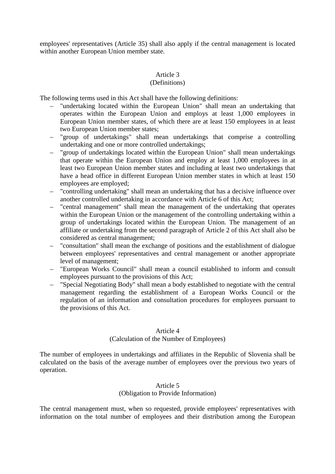employees' representatives (Article 35) shall also apply if the central management is located within another European Union member state.

### Article 3

### (Definitions)

The following terms used in this Act shall have the following definitions:

- "undertaking located within the European Union" shall mean an undertaking that operates within the European Union and employs at least 1,000 employees in European Union member states, of which there are at least 150 employees in at least two European Union member states;
- "group of undertakings" shall mean undertakings that comprise a controlling undertaking and one or more controlled undertakings;
- "group of undertakings located within the European Union" shall mean undertakings that operate within the European Union and employ at least 1,000 employees in at least two European Union member states and including at least two undertakings that have a head office in different European Union member states in which at least 150 employees are employed;
- "controlling undertaking" shall mean an undertaking that has a decisive influence over another controlled undertaking in accordance with Article 6 of this Act;
- "central management" shall mean the management of the undertaking that operates within the European Union or the management of the controlling undertaking within a group of undertakings located within the European Union. The management of an affiliate or undertaking from the second paragraph of Article 2 of this Act shall also be considered as central management;
- "consultation" shall mean the exchange of positions and the establishment of dialogue between employees' representatives and central management or another appropriate level of management;
- "European Works Council" shall mean a council established to inform and consult employees pursuant to the provisions of this Act;
- "Special Negotiating Body" shall mean a body established to negotiate with the central management regarding the establishment of a European Works Council or the regulation of an information and consultation procedures for employees pursuant to the provisions of this Act.

#### Article 4

# (Calculation of the Number of Employees)

The number of employees in undertakings and affiliates in the Republic of Slovenia shall be calculated on the basis of the average number of employees over the previous two years of operation.

# Article 5 (Obligation to Provide Information)

The central management must, when so requested, provide employees' representatives with information on the total number of employees and their distribution among the European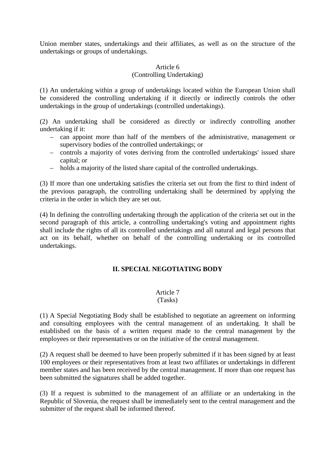Union member states, undertakings and their affiliates, as well as on the structure of the undertakings or groups of undertakings.

### Article 6

# (Controlling Undertaking)

(1) An undertaking within a group of undertakings located within the European Union shall be considered the controlling undertaking if it directly or indirectly controls the other undertakings in the group of undertakings (controlled undertakings).

(2) An undertaking shall be considered as directly or indirectly controlling another undertaking if it:

- can appoint more than half of the members of the administrative, management or supervisory bodies of the controlled undertakings; or
- controls a majority of votes deriving from the controlled undertakings' issued share capital; or
- holds a majority of the listed share capital of the controlled undertakings.

(3) If more than one undertaking satisfies the criteria set out from the first to third indent of the previous paragraph, the controlling undertaking shall be determined by applying the criteria in the order in which they are set out.

(4) In defining the controlling undertaking through the application of the criteria set out in the second paragraph of this article, a controlling undertaking's voting and appointment rights shall include the rights of all its controlled undertakings and all natural and legal persons that act on its behalf, whether on behalf of the controlling undertaking or its controlled undertakings.

# **II. SPECIAL NEGOTIATING BODY**

# Article 7

### (Tasks)

(1) A Special Negotiating Body shall be established to negotiate an agreement on informing and consulting employees with the central management of an undertaking. It shall be established on the basis of a written request made to the central management by the employees or their representatives or on the initiative of the central management.

(2) A request shall be deemed to have been properly submitted if it has been signed by at least 100 employees or their representatives from at least two affiliates or undertakings in different member states and has been received by the central management. If more than one request has been submitted the signatures shall be added together.

(3) If a request is submitted to the management of an affiliate or an undertaking in the Republic of Slovenia, the request shall be immediately sent to the central management and the submitter of the request shall be informed thereof.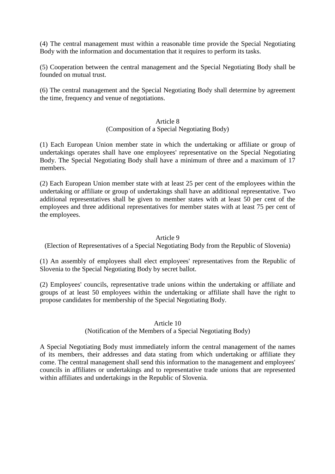(4) The central management must within a reasonable time provide the Special Negotiating Body with the information and documentation that it requires to perform its tasks.

(5) Cooperation between the central management and the Special Negotiating Body shall be founded on mutual trust.

(6) The central management and the Special Negotiating Body shall determine by agreement the time, frequency and venue of negotiations.

### Article 8

# (Composition of a Special Negotiating Body)

(1) Each European Union member state in which the undertaking or affiliate or group of undertakings operates shall have one employees' representative on the Special Negotiating Body. The Special Negotiating Body shall have a minimum of three and a maximum of 17 members.

(2) Each European Union member state with at least 25 per cent of the employees within the undertaking or affiliate or group of undertakings shall have an additional representative. Two additional representatives shall be given to member states with at least 50 per cent of the employees and three additional representatives for member states with at least 75 per cent of the employees.

### Article 9

(Election of Representatives of a Special Negotiating Body from the Republic of Slovenia)

(1) An assembly of employees shall elect employees' representatives from the Republic of Slovenia to the Special Negotiating Body by secret ballot.

(2) Employees' councils, representative trade unions within the undertaking or affiliate and groups of at least 50 employees within the undertaking or affiliate shall have the right to propose candidates for membership of the Special Negotiating Body.

### Article 10

### (Notification of the Members of a Special Negotiating Body)

A Special Negotiating Body must immediately inform the central management of the names of its members, their addresses and data stating from which undertaking or affiliate they come. The central management shall send this information to the management and employees' councils in affiliates or undertakings and to representative trade unions that are represented within affiliates and undertakings in the Republic of Slovenia.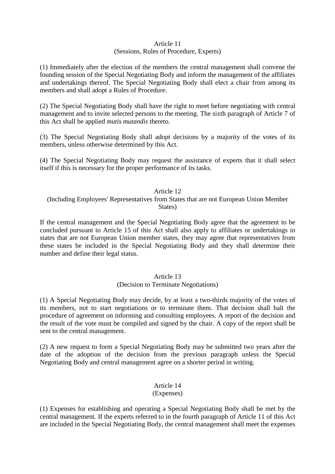### Article 11 (Sessions, Rules of Procedure, Experts)

(1) Immediately after the election of the members the central management shall convene the founding session of the Special Negotiating Body and inform the management of the affiliates and undertakings thereof. The Special Negotiating Body shall elect a chair from among its members and shall adopt a Rules of Procedure.

(2) The Special Negotiating Body shall have the right to meet before negotiating with central management and to invite selected persons to the meeting. The sixth paragraph of Article 7 of this Act shall be applied *mutis mutandis* thereto.

(3) The Special Negotiating Body shall adopt decisions by a majority of the votes of its members, unless otherwise determined by this Act.

(4) The Special Negotiating Body may request the assistance of experts that it shall select itself if this is necessary for the proper performance of its tasks.

### Article 12

### (Including Employees' Representatives from States that are not European Union Member States)

If the central management and the Special Negotiating Body agree that the agreement to be concluded pursuant to Article 15 of this Act shall also apply to affiliates or undertakings in states that are not European Union member states, they may agree that representatives from these states be included in the Special Negotiating Body and they shall determine their number and define their legal status.

#### Article 13 (Decision to Terminate Negotiations)

(1) A Special Negotiating Body may decide, by at least a two-thirds majority of the votes of its members, not to start negotiations or to terminate them. That decision shall halt the procedure of agreement on informing and consulting employees. A report of the decision and the result of the vote must be compiled and signed by the chair. A copy of the report shall be sent to the central management.

(2) A new request to form a Special Negotiating Body may be submitted two years after the date of the adoption of the decision from the previous paragraph unless the Special Negotiating Body and central management agree on a shorter period in writing.

# Article 14

# (Expenses)

(1) Expenses for establishing and operating a Special Negotiating Body shall be met by the central management. If the experts referred to in the fourth paragraph of Article 11 of this Act are included in the Special Negotiating Body, the central management shall meet the expenses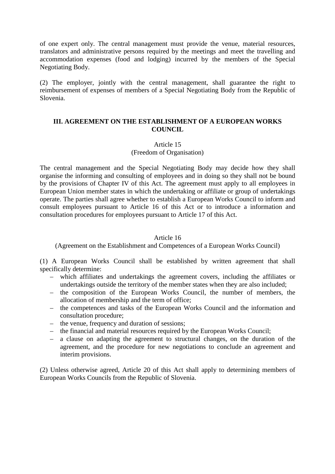of one expert only. The central management must provide the venue, material resources, translators and administrative persons required by the meetings and meet the travelling and accommodation expenses (food and lodging) incurred by the members of the Special Negotiating Body.

(2) The employer, jointly with the central management, shall guarantee the right to reimbursement of expenses of members of a Special Negotiating Body from the Republic of Slovenia.

### **III. AGREEMENT ON THE ESTABLISHMENT OF A EUROPEAN WORKS COUNCIL**

### Article 15

### (Freedom of Organisation)

The central management and the Special Negotiating Body may decide how they shall organise the informing and consulting of employees and in doing so they shall not be bound by the provisions of Chapter IV of this Act. The agreement must apply to all employees in European Union member states in which the undertaking or affiliate or group of undertakings operate. The parties shall agree whether to establish a European Works Council to inform and consult employees pursuant to Article 16 of this Act or to introduce a information and consultation procedures for employees pursuant to Article 17 of this Act.

### Article 16

(Agreement on the Establishment and Competences of a European Works Council)

(1) A European Works Council shall be established by written agreement that shall specifically determine:

- which affiliates and undertakings the agreement covers, including the affiliates or undertakings outside the territory of the member states when they are also included;
- the composition of the European Works Council, the number of members, the allocation of membership and the term of office;
- the competences and tasks of the European Works Council and the information and consultation procedure;
- the venue, frequency and duration of sessions;
- the financial and material resources required by the European Works Council;
- a clause on adapting the agreement to structural changes, on the duration of the agreement, and the procedure for new negotiations to conclude an agreement and interim provisions.

(2) Unless otherwise agreed, Article 20 of this Act shall apply to determining members of European Works Councils from the Republic of Slovenia.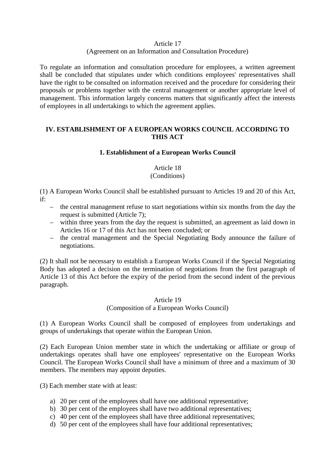### Article 17

# (Agreement on an Information and Consultation Procedure)

To regulate an information and consultation procedure for employees, a written agreement shall be concluded that stipulates under which conditions employees' representatives shall have the right to be consulted on information received and the procedure for considering their proposals or problems together with the central management or another appropriate level of management. This information largely concerns matters that significantly affect the interests of employees in all undertakings to which the agreement applies.

# **IV. ESTABLISHMENT OF A EUROPEAN WORKS COUNCIL ACCORDING TO THIS ACT**

# **1. Establishment of a European Works Council**

# Article 18 (Conditions)

(1) A European Works Council shall be established pursuant to Articles 19 and 20 of this Act, if:

- the central management refuse to start negotiations within six months from the day the request is submitted (Article 7);
- within three years from the day the request is submitted, an agreement as laid down in Articles 16 or 17 of this Act has not been concluded; or
- the central management and the Special Negotiating Body announce the failure of negotiations.

(2) It shall not be necessary to establish a European Works Council if the Special Negotiating Body has adopted a decision on the termination of negotiations from the first paragraph of Article 13 of this Act before the expiry of the period from the second indent of the previous paragraph.

# Article 19 (Composition of a European Works Council)

(1) A European Works Council shall be composed of employees from undertakings and groups of undertakings that operate within the European Union.

(2) Each European Union member state in which the undertaking or affiliate or group of undertakings operates shall have one employees' representative on the European Works Council. The European Works Council shall have a minimum of three and a maximum of 30 members. The members may appoint deputies.

(3) Each member state with at least:

- a) 20 per cent of the employees shall have one additional representative;
- b) 30 per cent of the employees shall have two additional representatives;
- c) 40 per cent of the employees shall have three additional representatives;
- d) 50 per cent of the employees shall have four additional representatives;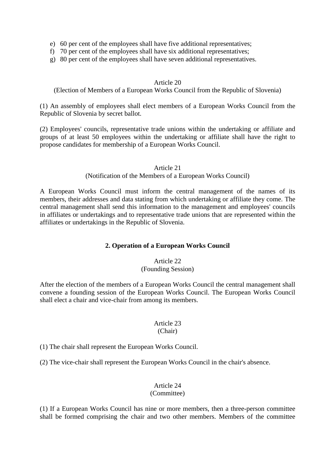- e) 60 per cent of the employees shall have five additional representatives;
- f) 70 per cent of the employees shall have six additional representatives;
- g) 80 per cent of the employees shall have seven additional representatives.

### Article 20

(Election of Members of a European Works Council from the Republic of Slovenia)

(1) An assembly of employees shall elect members of a European Works Council from the Republic of Slovenia by secret ballot.

(2) Employees' councils, representative trade unions within the undertaking or affiliate and groups of at least 50 employees within the undertaking or affiliate shall have the right to propose candidates for membership of a European Works Council.

### Article 21

# (Notification of the Members of a European Works Council)

A European Works Council must inform the central management of the names of its members, their addresses and data stating from which undertaking or affiliate they come. The central management shall send this information to the management and employees' councils in affiliates or undertakings and to representative trade unions that are represented within the affiliates or undertakings in the Republic of Slovenia.

### **2. Operation of a European Works Council**

# Article 22 (Founding Session)

After the election of the members of a European Works Council the central management shall convene a founding session of the European Works Council. The European Works Council shall elect a chair and vice-chair from among its members.

### Article 23 (Chair)

(1) The chair shall represent the European Works Council.

(2) The vice-chair shall represent the European Works Council in the chair's absence.

### Article 24 (Committee)

(1) If a European Works Council has nine or more members, then a three-person committee shall be formed comprising the chair and two other members. Members of the committee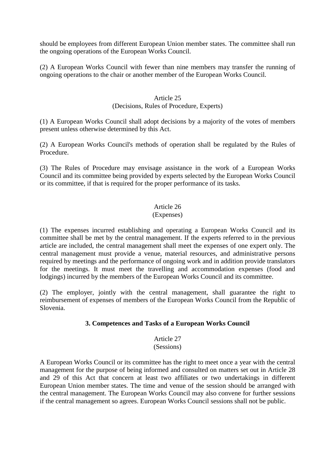should be employees from different European Union member states. The committee shall run the ongoing operations of the European Works Council.

(2) A European Works Council with fewer than nine members may transfer the running of ongoing operations to the chair or another member of the European Works Council.

### Article 25

### (Decisions, Rules of Procedure, Experts)

(1) A European Works Council shall adopt decisions by a majority of the votes of members present unless otherwise determined by this Act.

(2) A European Works Council's methods of operation shall be regulated by the Rules of Procedure.

(3) The Rules of Procedure may envisage assistance in the work of a European Works Council and its committee being provided by experts selected by the European Works Council or its committee, if that is required for the proper performance of its tasks.

# Article 26

### (Expenses)

(1) The expenses incurred establishing and operating a European Works Council and its committee shall be met by the central management. If the experts referred to in the previous article are included, the central management shall meet the expenses of one expert only. The central management must provide a venue, material resources, and administrative persons required by meetings and the performance of ongoing work and in addition provide translators for the meetings. It must meet the travelling and accommodation expenses (food and lodgings) incurred by the members of the European Works Council and its committee.

(2) The employer, jointly with the central management, shall guarantee the right to reimbursement of expenses of members of the European Works Council from the Republic of Slovenia.

### **3. Competences and Tasks of a European Works Council**

### Article 27 (Sessions)

A European Works Council or its committee has the right to meet once a year with the central management for the purpose of being informed and consulted on matters set out in Article 28 and 29 of this Act that concern at least two affiliates or two undertakings in different European Union member states. The time and venue of the session should be arranged with the central management. The European Works Council may also convene for further sessions if the central management so agrees. European Works Council sessions shall not be public.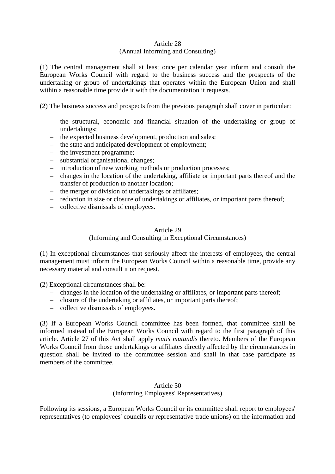### Article 28 (Annual Informing and Consulting)

(1) The central management shall at least once per calendar year inform and consult the European Works Council with regard to the business success and the prospects of the undertaking or group of undertakings that operates within the European Union and shall within a reasonable time provide it with the documentation it requests.

(2) The business success and prospects from the previous paragraph shall cover in particular:

- the structural, economic and financial situation of the undertaking or group of undertakings;
- the expected business development, production and sales;
- the state and anticipated development of employment;
- the investment programme;
- substantial organisational changes;
- introduction of new working methods or production processes;
- changes in the location of the undertaking, affiliate or important parts thereof and the transfer of production to another location;
- the merger or division of undertakings or affiliates;
- reduction in size or closure of undertakings or affiliates, or important parts thereof;
- collective dismissals of employees.

### Article 29

### (Informing and Consulting in Exceptional Circumstances)

(1) In exceptional circumstances that seriously affect the interests of employees, the central management must inform the European Works Council within a reasonable time, provide any necessary material and consult it on request.

(2) Exceptional circumstances shall be:

- changes in the location of the undertaking or affiliates, or important parts thereof;
- closure of the undertaking or affiliates, or important parts thereof;
- collective dismissals of employees.

(3) If a European Works Council committee has been formed, that committee shall be informed instead of the European Works Council with regard to the first paragraph of this article. Article 27 of this Act shall apply *mutis mutandis* thereto. Members of the European Works Council from those undertakings or affiliates directly affected by the circumstances in question shall be invited to the committee session and shall in that case participate as members of the committee.

### Article 30 (Informing Employees' Representatives)

Following its sessions, a European Works Council or its committee shall report to employees' representatives (to employees' councils or representative trade unions) on the information and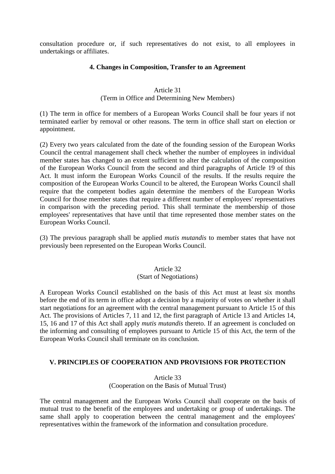consultation procedure or, if such representatives do not exist, to all employees in undertakings or affiliates.

### **4. Changes in Composition, Transfer to an Agreement**

### Article 31

(Term in Office and Determining New Members)

(1) The term in office for members of a European Works Council shall be four years if not terminated earlier by removal or other reasons. The term in office shall start on election or appointment.

(2) Every two years calculated from the date of the founding session of the European Works Council the central management shall check whether the number of employees in individual member states has changed to an extent sufficient to alter the calculation of the composition of the European Works Council from the second and third paragraphs of Article 19 of this Act. It must inform the European Works Council of the results. If the results require the composition of the European Works Council to be altered, the European Works Council shall require that the competent bodies again determine the members of the European Works Council for those member states that require a different number of employees' representatives in comparison with the preceding period. This shall terminate the membership of those employees' representatives that have until that time represented those member states on the European Works Council.

(3) The previous paragraph shall be applied *mutis mutandis* to member states that have not previously been represented on the European Works Council.

# Article 32

#### (Start of Negotiations)

A European Works Council established on the basis of this Act must at least six months before the end of its term in office adopt a decision by a majority of votes on whether it shall start negotiations for an agreement with the central management pursuant to Article 15 of this Act. The provisions of Articles 7, 11 and 12, the first paragraph of Article 13 and Articles 14, 15, 16 and 17 of this Act shall apply *mutis mutandis* thereto. If an agreement is concluded on the informing and consulting of employees pursuant to Article 15 of this Act, the term of the European Works Council shall terminate on its conclusion.

# **V. PRINCIPLES OF COOPERATION AND PROVISIONS FOR PROTECTION**

Article 33 (Cooperation on the Basis of Mutual Trust)

The central management and the European Works Council shall cooperate on the basis of mutual trust to the benefit of the employees and undertaking or group of undertakings. The same shall apply to cooperation between the central management and the employees' representatives within the framework of the information and consultation procedure.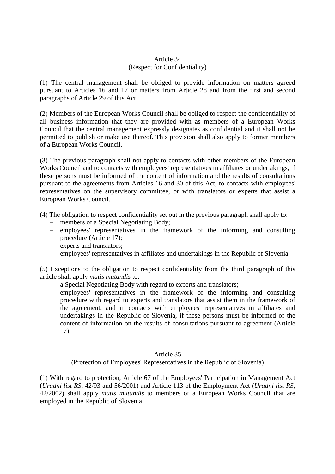# Article 34 (Respect for Confidentiality)

(1) The central management shall be obliged to provide information on matters agreed pursuant to Articles 16 and 17 or matters from Article 28 and from the first and second paragraphs of Article 29 of this Act.

(2) Members of the European Works Council shall be obliged to respect the confidentiality of all business information that they are provided with as members of a European Works Council that the central management expressly designates as confidential and it shall not be permitted to publish or make use thereof. This provision shall also apply to former members of a European Works Council.

(3) The previous paragraph shall not apply to contacts with other members of the European Works Council and to contacts with employees' representatives in affiliates or undertakings, if these persons must be informed of the content of information and the results of consultations pursuant to the agreements from Articles 16 and 30 of this Act, to contacts with employees' representatives on the supervisory committee, or with translators or experts that assist a European Works Council.

(4) The obligation to respect confidentiality set out in the previous paragraph shall apply to:

- members of a Special Negotiating Body;
- employees' representatives in the framework of the informing and consulting procedure (Article 17);
- experts and translators;
- employees' representatives in affiliates and undertakings in the Republic of Slovenia.

(5) Exceptions to the obligation to respect confidentiality from the third paragraph of this article shall apply *mutis mutandis* to:

- a Special Negotiating Body with regard to experts and translators;
- employees' representatives in the framework of the informing and consulting procedure with regard to experts and translators that assist them in the framework of the agreement, and in contacts with employees' representatives in affiliates and undertakings in the Republic of Slovenia, if these persons must be informed of the content of information on the results of consultations pursuant to agreement (Article 17).

### Article 35

### (Protection of Employees' Representatives in the Republic of Slovenia)

(1) With regard to protection, Article 67 of the Employees' Participation in Management Act (*Uradni list RS*, 42/93 and 56/2001) and Article 113 of the Employment Act (*Uradni list RS*, 42/2002) shall apply *mutis mutandis* to members of a European Works Council that are employed in the Republic of Slovenia.